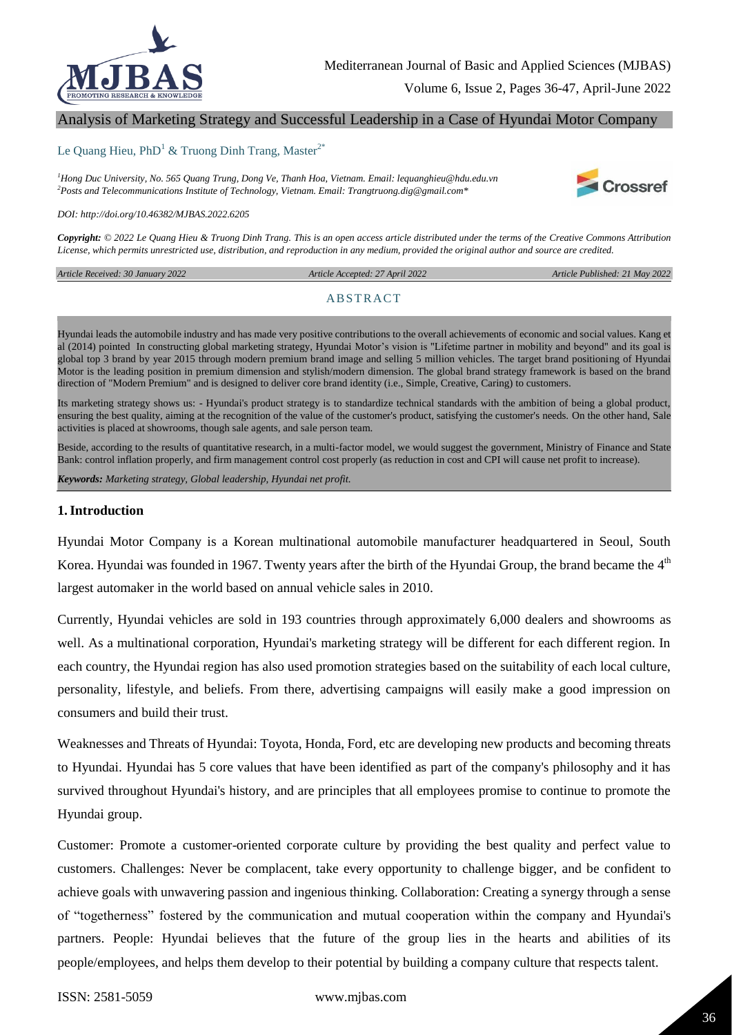

## Analysis of Marketing Strategy and Successful Leadership in a Case of Hyundai Motor Company

#### Le Quang Hieu, PhD<sup>1</sup> & Truong Dinh Trang, Master<sup>2\*</sup>

*<sup>1</sup>Hong Duc University, No. 565 Quang Trung, Dong Ve, Thanh Hoa, Vietnam. Email: lequanghieu@hdu.edu.vn <sup>2</sup>Posts and Telecommunications Institute of Technology, Vietnam. Email: Trangtruong.dig@gmail.com\**



*Copyright: © 2022 Le Quang Hieu & Truong Dinh Trang. This is an open access article distributed under the terms of the Creative Commons Attribution License, which permits unrestricted use, distribution, and reproduction in any medium, provided the original author and source are credited.* 

*Article Received: 30 January 2022* 

 *Article Accepted: 27 April 2022 Article Published: 21 May 2022*

Crossref

#### **ABSTRACT**

Hyundai leads the automobile industry and has made very positive contributions to the overall achievements of economic and social values. Kang et al (2014) pointed In constructing global marketing strategy, Hyundai Motor's vision is "Lifetime partner in mobility and beyond" and its goal is global top 3 brand by year 2015 through modern premium brand image and selling 5 million vehicles. The target brand positioning of Hyundai Motor is the leading position in premium dimension and stylish/modern dimension. The global brand strategy framework is based on the brand direction of "Modern Premium" and is designed to deliver core brand identity (i.e., Simple, Creative, Caring) to customers.

Its marketing strategy shows us: - Hyundai's product strategy is to standardize technical standards with the ambition of being a global product, ensuring the best quality, aiming at the recognition of the value of the customer's product, satisfying the customer's needs. On the other hand, Sale activities is placed at showrooms, though sale agents, and sale person team.

Beside, according to the results of quantitative research, in a multi-factor model, we would suggest the government, Ministry of Finance and State Bank: control inflation properly, and firm management control cost properly (as reduction in cost and CPI will cause net profit to increase).

*Keywords: Marketing strategy, Global leadership, Hyundai net profit.*

#### **1.Introduction**

Hyundai Motor Company is a Korean multinational automobile manufacturer headquartered in Seoul, South Korea. Hyundai was founded in 1967. Twenty years after the birth of the Hyundai Group, the brand became the  $4<sup>th</sup>$ largest automaker in the world based on annual vehicle sales in 2010.

Currently, Hyundai vehicles are sold in 193 countries through approximately 6,000 dealers and showrooms as well. As a multinational corporation, Hyundai's marketing strategy will be different for each different region. In each country, the Hyundai region has also used promotion strategies based on the suitability of each local culture, personality, lifestyle, and beliefs. From there, advertising campaigns will easily make a good impression on consumers and build their trust.

Weaknesses and Threats of Hyundai: Toyota, Honda, Ford, etc are developing new products and becoming threats to Hyundai. Hyundai has 5 core values that have been identified as part of the company's philosophy and it has survived throughout Hyundai's history, and are principles that all employees promise to continue to promote the Hyundai group.

Customer: Promote a customer-oriented corporate culture by providing the best quality and perfect value to customers. Challenges: Never be complacent, take every opportunity to challenge bigger, and be confident to achieve goals with unwavering passion and ingenious thinking. Collaboration: Creating a synergy through a sense of "togetherness" fostered by the communication and mutual cooperation within the company and Hyundai's partners. People: Hyundai believes that the future of the group lies in the hearts and abilities of its people/employees, and helps them develop to their potential by building a company culture that respects talent.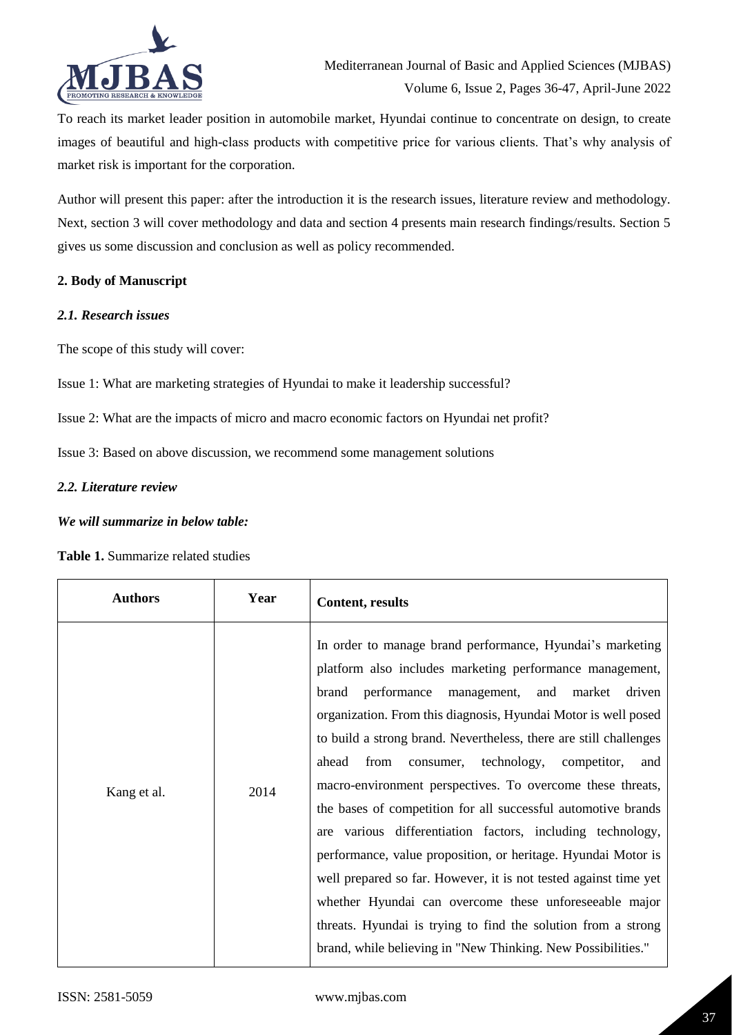

To reach its market leader position in automobile market, Hyundai continue to concentrate on design, to create images of beautiful and high-class products with competitive price for various clients. That's why analysis of market risk is important for the corporation.

Author will present this paper: after the introduction it is the research issues, literature review and methodology. Next, section 3 will cover methodology and data and section 4 presents main research findings/results. Section 5 gives us some discussion and conclusion as well as policy recommended.

## **2. Body of Manuscript**

## *2.1. Research issues*

The scope of this study will cover:

Issue 1: What are marketing strategies of Hyundai to make it leadership successful?

Issue 2: What are the impacts of micro and macro economic factors on Hyundai net profit?

Issue 3: Based on above discussion, we recommend some management solutions

## *2.2. Literature review*

## *We will summarize in below table:*

## **Table 1.** Summarize related studies

| <b>Authors</b> | Year | <b>Content, results</b>                                                                                                                                                                                                                                                                                                                                                                                                                                                                                                                                                                                                                                                                                                                                                                                                                                                                                                        |
|----------------|------|--------------------------------------------------------------------------------------------------------------------------------------------------------------------------------------------------------------------------------------------------------------------------------------------------------------------------------------------------------------------------------------------------------------------------------------------------------------------------------------------------------------------------------------------------------------------------------------------------------------------------------------------------------------------------------------------------------------------------------------------------------------------------------------------------------------------------------------------------------------------------------------------------------------------------------|
| Kang et al.    | 2014 | In order to manage brand performance, Hyundai's marketing<br>platform also includes marketing performance management,<br>brand<br>performance<br>management,<br>and<br>market<br>driven<br>organization. From this diagnosis, Hyundai Motor is well posed<br>to build a strong brand. Nevertheless, there are still challenges<br>technology,<br>ahead<br>from<br>consumer,<br>competitor,<br>and<br>macro-environment perspectives. To overcome these threats,<br>the bases of competition for all successful automotive brands<br>are various differentiation factors, including technology,<br>performance, value proposition, or heritage. Hyundai Motor is<br>well prepared so far. However, it is not tested against time yet<br>whether Hyundai can overcome these unforeseeable major<br>threats. Hyundai is trying to find the solution from a strong<br>brand, while believing in "New Thinking. New Possibilities." |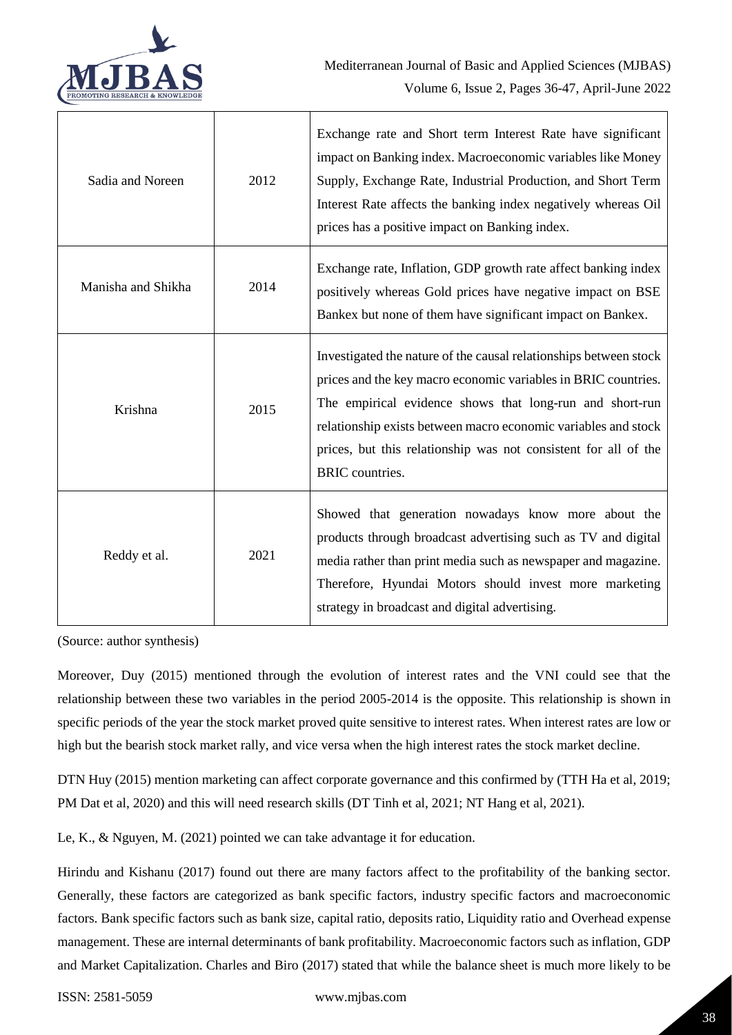

| Sadia and Noreen   | 2012 | Exchange rate and Short term Interest Rate have significant<br>impact on Banking index. Macroeconomic variables like Money<br>Supply, Exchange Rate, Industrial Production, and Short Term<br>Interest Rate affects the banking index negatively whereas Oil<br>prices has a positive impact on Banking index.                                                 |
|--------------------|------|----------------------------------------------------------------------------------------------------------------------------------------------------------------------------------------------------------------------------------------------------------------------------------------------------------------------------------------------------------------|
| Manisha and Shikha | 2014 | Exchange rate, Inflation, GDP growth rate affect banking index<br>positively whereas Gold prices have negative impact on BSE<br>Bankex but none of them have significant impact on Bankex.                                                                                                                                                                     |
| Krishna            | 2015 | Investigated the nature of the causal relationships between stock<br>prices and the key macro economic variables in BRIC countries.<br>The empirical evidence shows that long-run and short-run<br>relationship exists between macro economic variables and stock<br>prices, but this relationship was not consistent for all of the<br><b>BRIC</b> countries. |
| Reddy et al.       | 2021 | Showed that generation nowadays know more about the<br>products through broadcast advertising such as TV and digital<br>media rather than print media such as newspaper and magazine.<br>Therefore, Hyundai Motors should invest more marketing<br>strategy in broadcast and digital advertising.                                                              |

(Source: author synthesis)

Moreover, Duy (2015) mentioned through the evolution of interest rates and the VNI could see that the relationship between these two variables in the period 2005-2014 is the opposite. This relationship is shown in specific periods of the year the stock market proved quite sensitive to interest rates. When interest rates are low or high but the bearish stock market rally, and vice versa when the high interest rates the stock market decline.

DTN Huy (2015) mention marketing can affect corporate governance and this confirmed by (TTH Ha et al, 2019; PM Dat et al, 2020) and this will need research skills (DT Tinh et al, 2021; NT Hang et al, 2021).

Le, K., & Nguyen, M. (2021) pointed we can take advantage it for education.

Hirindu and Kishanu (2017) found out there are many factors affect to the profitability of the banking sector. Generally, these factors are categorized as bank specific factors, industry specific factors and macroeconomic factors. Bank specific factors such as bank size, capital ratio, deposits ratio, Liquidity ratio and Overhead expense management. These are internal determinants of bank profitability. Macroeconomic factors such as inflation, GDP and Market Capitalization. Charles and Biro (2017) stated that while the balance sheet is much more likely to be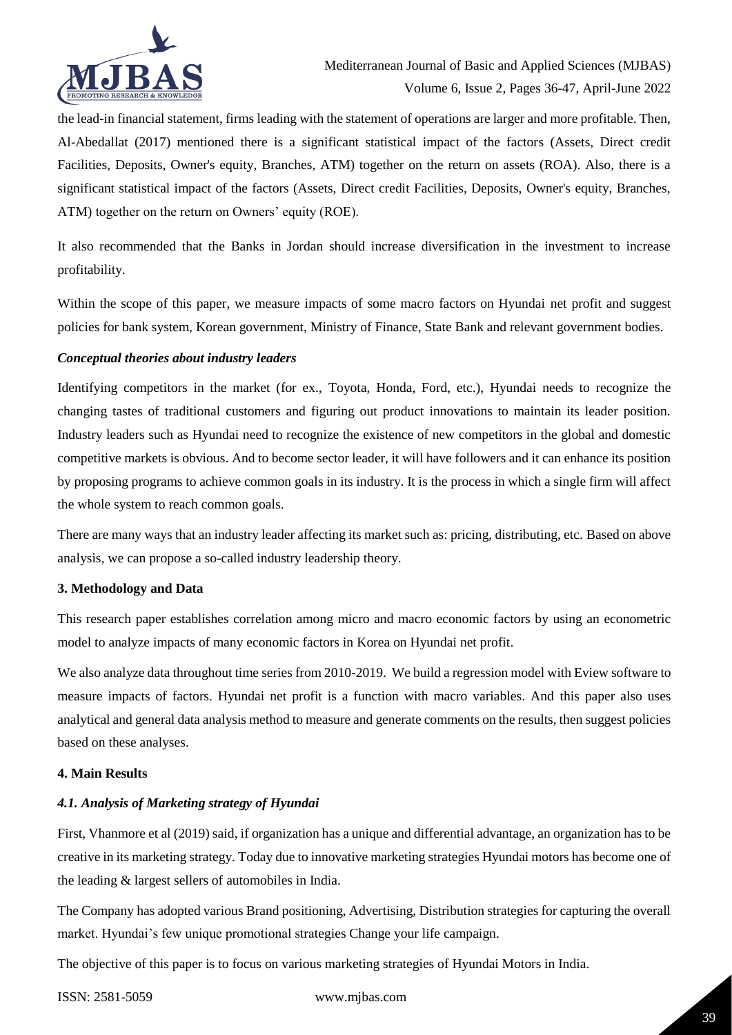

the lead-in financial statement, firms leading with the statement of operations are larger and more profitable. Then, Al-Abedallat (2017) mentioned there is a significant statistical impact of the factors (Assets, Direct credit Facilities, Deposits, Owner's equity, Branches, ATM) together on the return on assets (ROA). Also, there is a significant statistical impact of the factors (Assets, Direct credit Facilities, Deposits, Owner's equity, Branches, ATM) together on the return on Owners' equity (ROE).

It also recommended that the Banks in Jordan should increase diversification in the investment to increase profitability.

Within the scope of this paper, we measure impacts of some macro factors on Hyundai net profit and suggest policies for bank system, Korean government, Ministry of Finance, State Bank and relevant government bodies.

## *Conceptual theories about industry leaders*

Identifying competitors in the market (for ex., Toyota, Honda, Ford, etc.), Hyundai needs to recognize the changing tastes of traditional customers and figuring out product innovations to maintain its leader position. Industry leaders such as Hyundai need to recognize the existence of new competitors in the global and domestic competitive markets is obvious. And to become sector leader, it will have followers and it can enhance its position by proposing programs to achieve common goals in its industry. It is the process in which a single firm will affect the whole system to reach common goals.

There are many ways that an industry leader affecting its market such as: pricing, distributing, etc. Based on above analysis, we can propose a so-called industry leadership theory.

## **3. Methodology and Data**

This research paper establishes correlation among micro and macro economic factors by using an econometric model to analyze impacts of many economic factors in Korea on Hyundai net profit.

We also analyze data throughout time series from 2010-2019. We build a regression model with Eview software to measure impacts of factors. Hyundai net profit is a function with macro variables. And this paper also uses analytical and general data analysis method to measure and generate comments on the results, then suggest policies based on these analyses.

#### **4. Main Results**

## *4.1. Analysis of Marketing strategy of Hyundai*

First, Vhanmore et al (2019) said, if organization has a unique and differential advantage, an organization has to be creative in its marketing strategy. Today due to innovative marketing strategies Hyundai motors has become one of the leading & largest sellers of automobiles in India.

The Company has adopted various Brand positioning, Advertising, Distribution strategies for capturing the overall market. Hyundai's few unique promotional strategies Change your life campaign.

The objective of this paper is to focus on various marketing strategies of Hyundai Motors in India.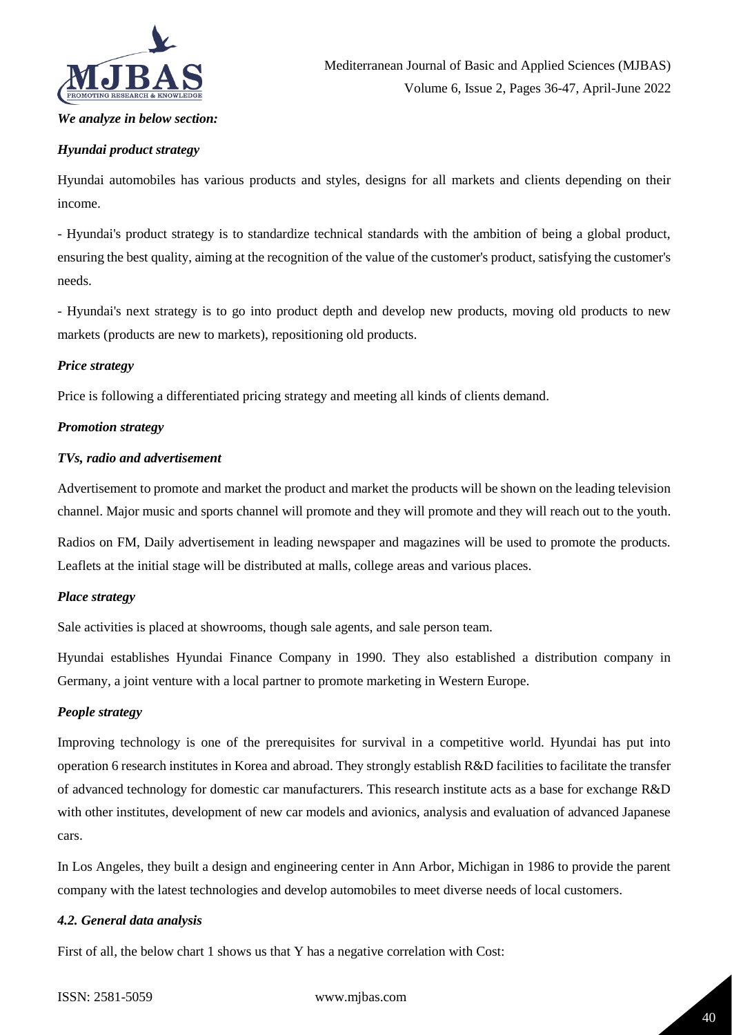

### *We analyze in below section:*

## *Hyundai product strategy*

Hyundai automobiles has various products and styles, designs for all markets and clients depending on their income.

- Hyundai's product strategy is to standardize technical standards with the ambition of being a global product, ensuring the best quality, aiming at the recognition of the value of the customer's product, satisfying the customer's needs.

- Hyundai's next strategy is to go into product depth and develop new products, moving old products to new markets (products are new to markets), repositioning old products.

#### *Price strategy*

Price is following a differentiated pricing strategy and meeting all kinds of clients demand.

### *Promotion strategy*

#### *TVs, radio and advertisement*

Advertisement to promote and market the product and market the products will be shown on the leading television channel. Major music and sports channel will promote and they will promote and they will reach out to the youth.

Radios on FM, Daily advertisement in leading newspaper and magazines will be used to promote the products. Leaflets at the initial stage will be distributed at malls, college areas and various places.

#### *Place strategy*

Sale activities is placed at showrooms, though sale agents, and sale person team.

Hyundai establishes Hyundai Finance Company in 1990. They also established a distribution company in Germany, a joint venture with a local partner to promote marketing in Western Europe.

#### *People strategy*

Improving technology is one of the prerequisites for survival in a competitive world. Hyundai has put into operation 6 research institutes in Korea and abroad. They strongly establish R&D facilities to facilitate the transfer of advanced technology for domestic car manufacturers. This research institute acts as a base for exchange R&D with other institutes, development of new car models and avionics, analysis and evaluation of advanced Japanese cars.

In Los Angeles, they built a design and engineering center in Ann Arbor, Michigan in 1986 to provide the parent company with the latest technologies and develop automobiles to meet diverse needs of local customers.

## *4.2. General data analysis*

First of all, the below chart 1 shows us that Y has a negative correlation with Cost: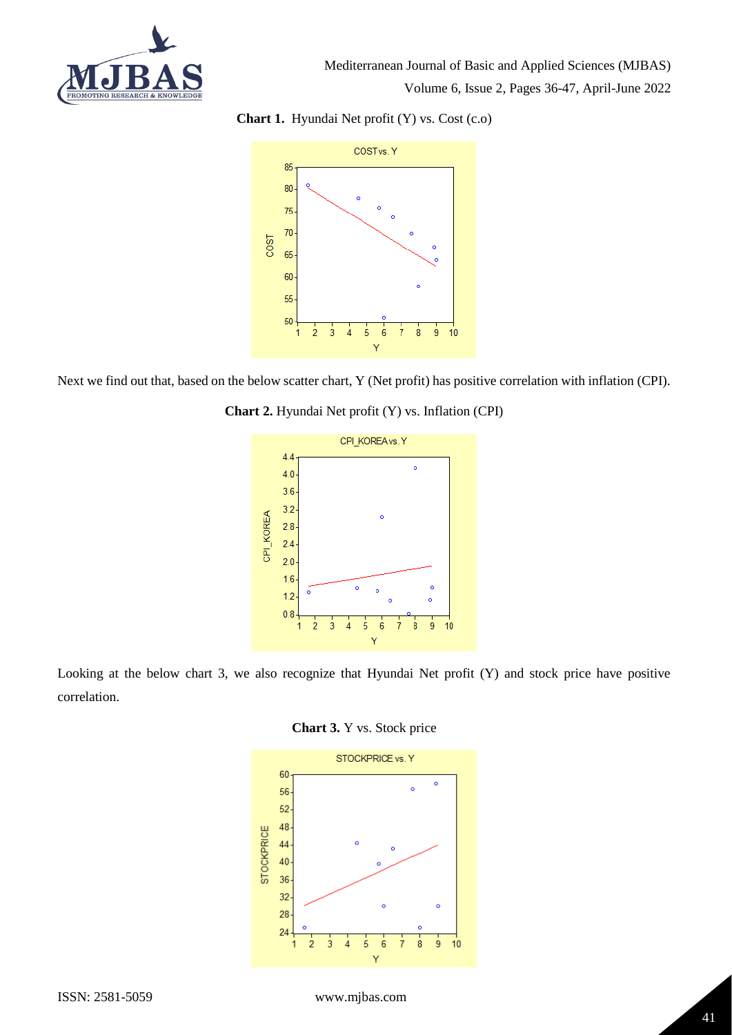

**Chart 1.** Hyundai Net profit (Y) vs. Cost (c.o)



Next we find out that, based on the below scatter chart, Y (Net profit) has positive correlation with inflation (CPI).





Looking at the below chart 3, we also recognize that Hyundai Net profit (Y) and stock price have positive correlation.



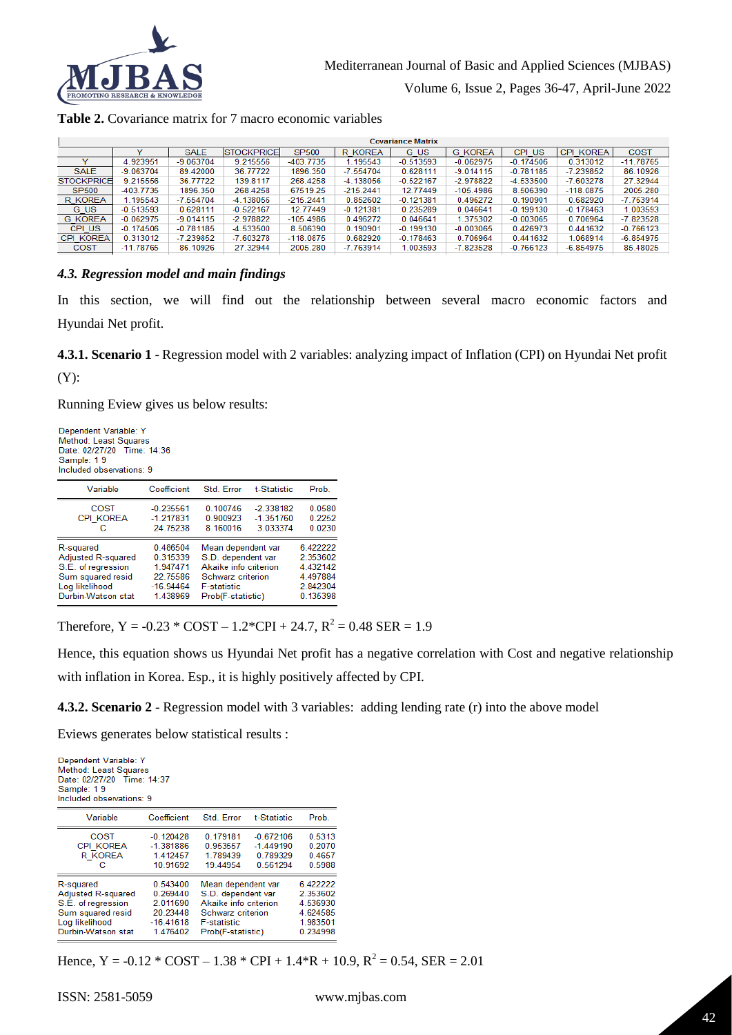

## **Table 2.** Covariance matrix for 7 macro economic variables

| v           | <b>SALE</b> | <b>STOCKPRICE</b> | <b>SP500</b> | <b>R KOREA</b> | G US        | <b>G KOREA</b>           | CPI US      | <b>CPI KOREA</b> | <b>COST</b> |
|-------------|-------------|-------------------|--------------|----------------|-------------|--------------------------|-------------|------------------|-------------|
| 4.923951    | $-9.063704$ | 9.215556          | -403.7735    | 1.195543       | $-0.513593$ | $-0.062975$              | $-0.174506$ | 0.313012         | $-11.78765$ |
| $-9.063704$ | 89.42000    | 36.77722          | 1896.350     | $-7.554704$    | 0.628111    | $-9.014115$              | $-0.781185$ | $-7.239852$      | 86.10926    |
| 9.215556    | 36.77722    | 139.8117          | 268.4258     | $-4.138056$    | $-0.522167$ | $-2.978822$              | -4.533500   | $-7.603278$      | 27.32944    |
| -403.7735   | 1896.350    | 268,4258          | 67519.25     | $-215.2441$    | 12.77449    | $-105.4986$              | 8.506390    | $-118.0875$      | 2005.280    |
| .195543     | $-7.554704$ | -4.138056         | $-215.2441$  | 0.852602       | $-0.121381$ | 0.496272                 | 0.190901    | 0.682920         | $-7.763914$ |
| $-0.513593$ | 0.628111    | $-0.522167$       | 12.77449     | $-0.121381$    | 0.235289    | 0.046641                 | $-0.199130$ | $-0.178463$      | 1.003593    |
| $-0.062975$ | $-9.014115$ | $-2.978822$       | $-105.4986$  | 0.496272       | 0.046641    | 1.375302                 | $-0.003065$ | 0.706964         | $-7.823528$ |
| $-0.174506$ | $-0.781185$ | $-4.533500$       | 8.506390     | 0.190901       | $-0.199130$ | $-0.003065$              | 0.426973    | 0.441632         | $-0.766123$ |
| 0.313012    | $-7.239852$ | $-7.603278$       | $-118.0875$  | 0.682920       | $-0.178463$ | 0.706964                 | 0.441632    | 1.068914         | $-6.854975$ |
| $-11.78765$ | 86.10926    | 27.32944          | 2005.280     | $-7.763914$    | 1.003593    | $-7.823528$              | $-0.766123$ | $-6.854975$      | 85.48025    |
|             |             |                   |              |                |             | <b>Covariance Matrix</b> |             |                  |             |

## *4.3. Regression model and main findings*

In this section, we will find out the relationship between several macro economic factors and Hyundai Net profit.

**4.3.1. Scenario 1** - Regression model with 2 variables: analyzing impact of Inflation (CPI) on Hyundai Net profit

(Y):

Running Eview gives us below results:

| Dependent Variable: Y<br>Method: Least Squares<br>Date: 02/27/20 Time: 14:36<br>Sample: 19<br>Included observations: 9 |             |                       |             |          |  |  |  |
|------------------------------------------------------------------------------------------------------------------------|-------------|-----------------------|-------------|----------|--|--|--|
| Variable                                                                                                               | Coefficient | Std. Error            | t-Statistic | Prob.    |  |  |  |
| COST                                                                                                                   | $-0.235561$ | 0.100746              | $-2.338182$ | 0.0580   |  |  |  |
| <b>CPI KOREA</b>                                                                                                       | $-1.217831$ | 0.900923              | $-1.351760$ | 0 2252   |  |  |  |
| с                                                                                                                      | 24.75238    | 8.160016              | 3.033374    | 0.0230   |  |  |  |
| R-squared                                                                                                              | 0.486504    | Mean dependent var    |             | 6.422222 |  |  |  |
| Adjusted R-squared                                                                                                     | 0.315339    | S.D. dependent var    |             | 2.353602 |  |  |  |
| S.E. of regression                                                                                                     | 1.947471    | Akaike info criterion |             | 4 432142 |  |  |  |
| Sum squared resid                                                                                                      | 22 75586    | Schwarz criterion     |             | 4.497884 |  |  |  |
| Log likelihood                                                                                                         | $-16.94464$ | <b>E-statistic</b>    |             | 2.842304 |  |  |  |
| Durbin-Watson stat                                                                                                     | 1.438969    | Prob(F-statistic)     |             | 0.135398 |  |  |  |

Therefore,  $Y = -0.23 * COST - 1.2 * CPL + 24.7$ ,  $R^2 = 0.48$  SER = 1.9

Hence, this equation shows us Hyundai Net profit has a negative correlation with Cost and negative relationship with inflation in Korea. Esp., it is highly positively affected by CPI.

**4.3.2. Scenario 2** - Regression model with 3 variables: adding lending rate (r) into the above model

Eviews generates below statistical results :

| Dependent Variable: Y<br>Method: Least Squares<br>Date: 02/27/20 Time: 14:37<br>Sample: 19<br>Included observations: 9 |             |                       |             |          |  |  |
|------------------------------------------------------------------------------------------------------------------------|-------------|-----------------------|-------------|----------|--|--|
| Variable                                                                                                               | Coefficient | Std. Error            | t-Statistic | Prob.    |  |  |
| COST                                                                                                                   | $-0.120428$ | 0.179181              | $-0.672106$ | 0.5313   |  |  |
| <b>CPI KOREA</b>                                                                                                       | $-1.381886$ | 0.953557              | $-1.449190$ | 0.2070   |  |  |
| R KOREA                                                                                                                | 1.412457    | 1.789439              | 0.789329    | 0.4657   |  |  |
| с                                                                                                                      | 10.91692    | 19.44954              | 0.561294    | 0.5988   |  |  |
| R-squared                                                                                                              | 0.543400    | Mean dependent var    |             | 6.422222 |  |  |
| Adjusted R-squared                                                                                                     | 0.269440    | S.D. dependent var    |             | 2.353602 |  |  |
| S.E. of regression                                                                                                     | 2 011690    | Akaike info criterion |             | 4.536930 |  |  |
| Sum squared resid                                                                                                      | 20.23448    | Schwarz criterion     |             | 4.624585 |  |  |
| Log likelihood                                                                                                         | $-16.41618$ | <b>F-statistic</b>    |             | 1.983501 |  |  |
| Durbin-Watson stat                                                                                                     | 1.476402    | Prob(F-statistic)     |             | 0.234998 |  |  |

Hence, Y =  $-0.12 * COST - 1.38 * CPI + 1.4 * R + 10.9$ ,  $R^2 = 0.54$ , SER = 2.01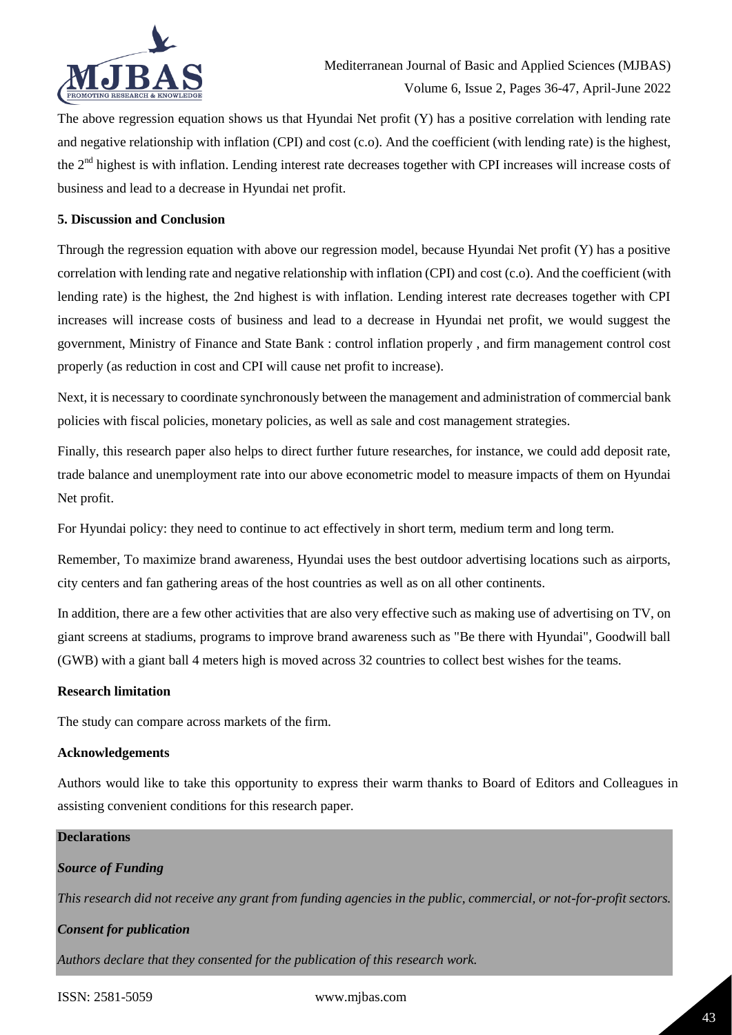

The above regression equation shows us that Hyundai Net profit  $(Y)$  has a positive correlation with lending rate and negative relationship with inflation (CPI) and cost (c.o). And the coefficient (with lending rate) is the highest, the 2nd highest is with inflation. Lending interest rate decreases together with CPI increases will increase costs of business and lead to a decrease in Hyundai net profit.

## **5. Discussion and Conclusion**

Through the regression equation with above our regression model, because Hyundai Net profit (Y) has a positive correlation with lending rate and negative relationship with inflation (CPI) and cost (c.o). And the coefficient (with lending rate) is the highest, the 2nd highest is with inflation. Lending interest rate decreases together with CPI increases will increase costs of business and lead to a decrease in Hyundai net profit, we would suggest the government, Ministry of Finance and State Bank : control inflation properly , and firm management control cost properly (as reduction in cost and CPI will cause net profit to increase).

Next, it is necessary to coordinate synchronously between the management and administration of commercial bank policies with fiscal policies, monetary policies, as well as sale and cost management strategies.

Finally, this research paper also helps to direct further future researches, for instance, we could add deposit rate, trade balance and unemployment rate into our above econometric model to measure impacts of them on Hyundai Net profit.

For Hyundai policy: they need to continue to act effectively in short term, medium term and long term.

Remember, To maximize brand awareness, Hyundai uses the best outdoor advertising locations such as airports, city centers and fan gathering areas of the host countries as well as on all other continents.

In addition, there are a few other activities that are also very effective such as making use of advertising on TV, on giant screens at stadiums, programs to improve brand awareness such as "Be there with Hyundai", Goodwill ball (GWB) with a giant ball 4 meters high is moved across 32 countries to collect best wishes for the teams.

## **Research limitation**

The study can compare across markets of the firm.

#### **Acknowledgements**

Authors would like to take this opportunity to express their warm thanks to Board of Editors and Colleagues in assisting convenient conditions for this research paper.

# **Declarations** *Source of Funding This research did not receive any grant from funding agencies in the public, commercial, or not-for-profit sectors. Consent for publication*

*Authors declare that they consented for the publication of this research work.*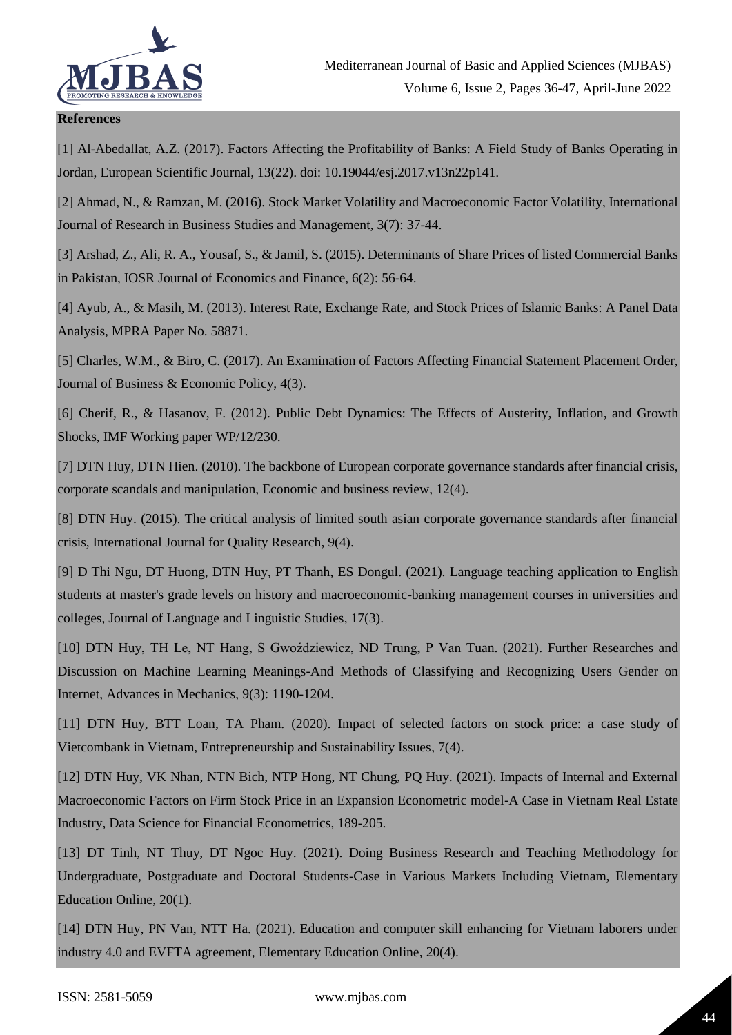

## **References**

[1] Al-Abedallat, A.Z. (2017). Factors Affecting the Profitability of Banks: A Field Study of Banks Operating in Jordan, European Scientific Journal, 13(22). doi: 10.19044/esj.2017.v13n22p141.

[2] Ahmad, N., & Ramzan, M. (2016). Stock Market Volatility and Macroeconomic Factor Volatility, International Journal of Research in Business Studies and Management, 3(7): 37-44.

[3] Arshad, Z., Ali, R. A., Yousaf, S., & Jamil, S. (2015). Determinants of Share Prices of listed Commercial Banks in Pakistan, IOSR Journal of Economics and Finance, 6(2): 56-64.

[4] Ayub, A., & Masih, M. (2013). Interest Rate, Exchange Rate, and Stock Prices of Islamic Banks: A Panel Data Analysis, MPRA Paper No. 58871.

[5] Charles, W.M., & Biro, C. (2017). An Examination of Factors Affecting Financial Statement Placement Order, Journal of Business & Economic Policy, 4(3).

[6] Cherif, R., & Hasanov, F. (2012). Public Debt Dynamics: The Effects of Austerity, Inflation, and Growth Shocks, IMF Working paper WP/12/230.

[7] DTN Huy, DTN Hien. (2010). The backbone of European corporate governance standards after financial crisis, corporate scandals and manipulation, Economic and business review, 12(4).

[8] DTN Huy. (2015). The critical analysis of limited south asian corporate governance standards after financial crisis, International Journal for Quality Research, 9(4).

[9] D Thi Ngu, DT Huong, DTN Huy, PT Thanh, ES Dongul. (2021). Language teaching application to English students at master's grade levels on history and macroeconomic-banking management courses in universities and colleges, Journal of Language and Linguistic Studies, 17(3).

[10] DTN Huy, TH Le, NT Hang, S Gwoździewicz, ND Trung, P Van Tuan. (2021). Further Researches and Discussion on Machine Learning Meanings-And Methods of Classifying and Recognizing Users Gender on Internet, Advances in Mechanics, 9(3): 1190-1204.

[11] DTN Huy, BTT Loan, TA Pham. (2020). Impact of selected factors on stock price: a case study of Vietcombank in Vietnam, Entrepreneurship and Sustainability Issues, 7(4).

[12] DTN Huy, VK Nhan, NTN Bich, NTP Hong, NT Chung, PQ Huy. (2021). Impacts of Internal and External Macroeconomic Factors on Firm Stock Price in an Expansion Econometric model-A Case in Vietnam Real Estate Industry, Data Science for Financial Econometrics, 189-205.

[13] DT Tinh, NT Thuy, DT Ngoc Huy. (2021). Doing Business Research and Teaching Methodology for Undergraduate, Postgraduate and Doctoral Students-Case in Various Markets Including Vietnam, Elementary Education Online, 20(1).

[14] DTN Huy, PN Van, NTT Ha. (2021). Education and computer skill enhancing for Vietnam laborers under industry 4.0 and EVFTA agreement, Elementary Education Online, 20(4).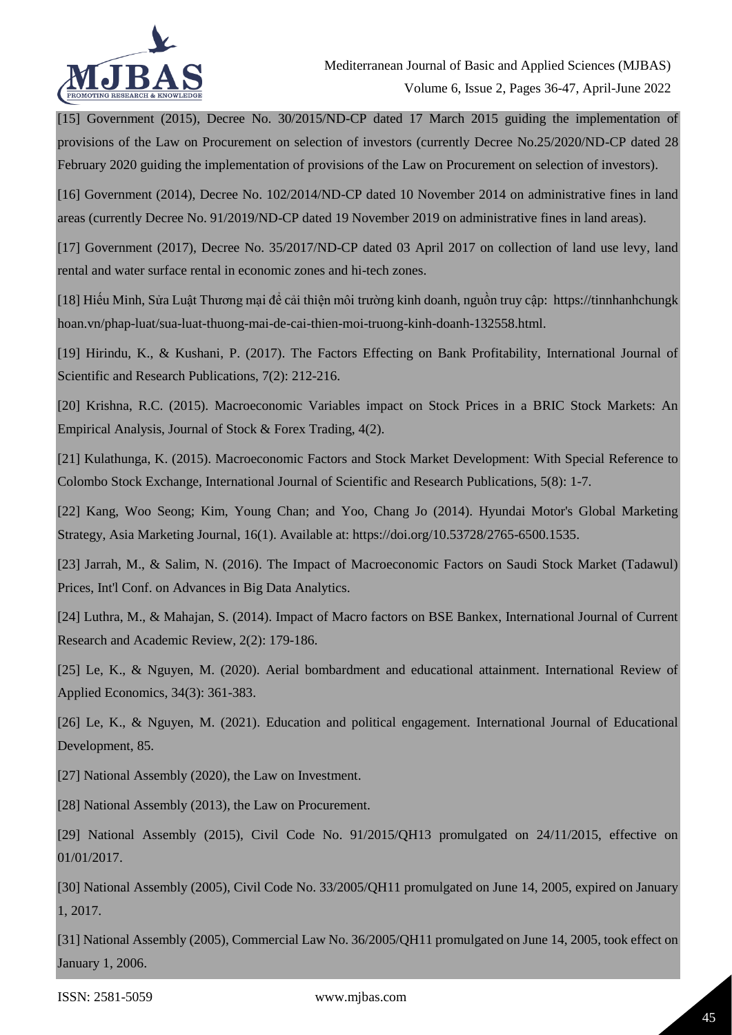

[15] Government (2015), Decree No. 30/2015/ND-CP dated 17 March 2015 guiding the implementation of provisions of the Law on Procurement on selection of investors (currently Decree No.25/2020/ND-CP dated 28 February 2020 guiding the implementation of provisions of the Law on Procurement on selection of investors).

[16] Government (2014), Decree No. 102/2014/ND-CP dated 10 November 2014 on administrative fines in land areas (currently Decree No. 91/2019/ND-CP dated 19 November 2019 on administrative fines in land areas).

[17] Government (2017), Decree No. 35/2017/ND-CP dated 03 April 2017 on collection of land use levy, land rental and water surface rental in economic zones and hi-tech zones.

[18] Hiếu Minh, Sửa Luật Thương mại để cải thiện môi trường kinh doanh, nguồn truy cập: https://tinnhanhchungk hoan.vn/phap-luat/sua-luat-thuong-mai-de-cai-thien-moi-truong-kinh-doanh-132558.html.

[19] Hirindu, K., & Kushani, P. (2017). The Factors Effecting on Bank Profitability, International Journal of Scientific and Research Publications, 7(2): 212-216.

[20] Krishna, R.C. (2015). Macroeconomic Variables impact on Stock Prices in a BRIC Stock Markets: An Empirical Analysis, Journal of Stock & Forex Trading, 4(2).

[21] Kulathunga, K. (2015). Macroeconomic Factors and Stock Market Development: With Special Reference to Colombo Stock Exchange, International Journal of Scientific and Research Publications, 5(8): 1-7.

[22] Kang, Woo Seong; Kim, Young Chan; and Yoo, Chang Jo (2014). Hyundai Motor's Global Marketing Strategy, Asia Marketing Journal, 16(1). Available at: https://doi.org/10.53728/2765-6500.1535.

[23] Jarrah, M., & Salim, N. (2016). The Impact of Macroeconomic Factors on Saudi Stock Market (Tadawul) Prices, Int'l Conf. on Advances in Big Data Analytics.

[24] Luthra, M., & Mahajan, S. (2014). Impact of Macro factors on BSE Bankex, International Journal of Current Research and Academic Review, 2(2): 179-186.

[25] Le, K., & Nguyen, M. (2020). Aerial bombardment and educational attainment. International Review of Applied Economics, 34(3): 361-383.

[26] Le, K., & Nguyen, M. (2021). Education and political engagement. International Journal of Educational Development, 85.

[27] National Assembly (2020), the Law on Investment.

[28] National Assembly (2013), the Law on Procurement.

[29] National Assembly (2015), Civil Code No. 91/2015/QH13 promulgated on 24/11/2015, effective on 01/01/2017.

[30] National Assembly (2005), Civil Code No. 33/2005/QH11 promulgated on June 14, 2005, expired on January 1, 2017.

[31] National Assembly (2005), Commercial Law No. 36/2005/QH11 promulgated on June 14, 2005, took effect on January 1, 2006.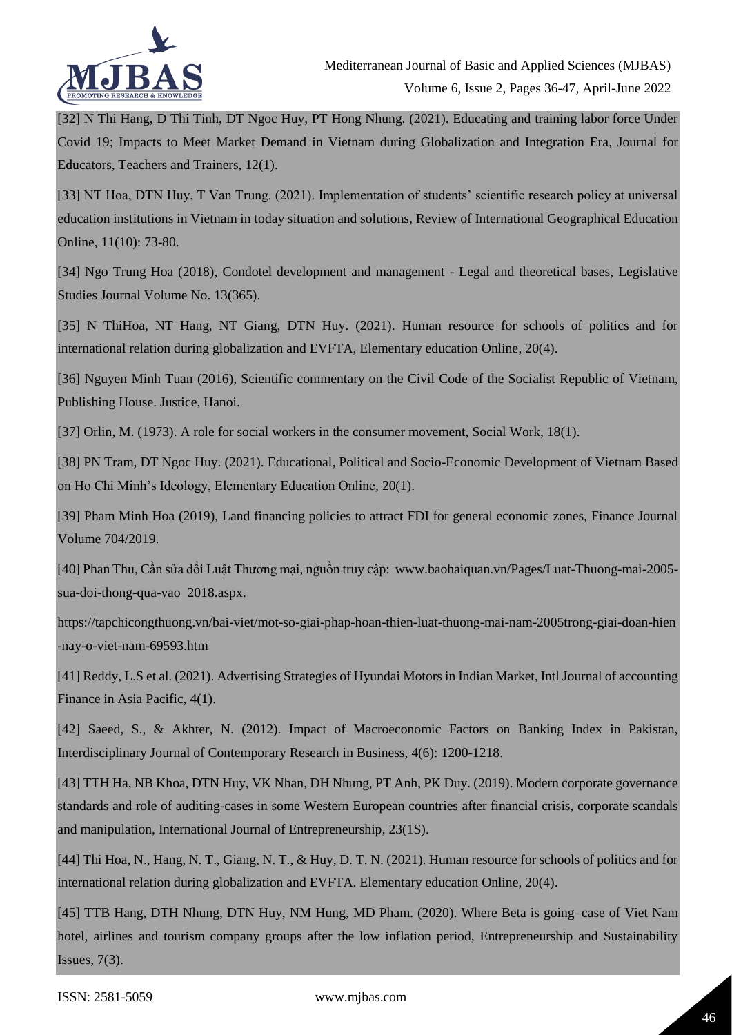

[32] N Thi Hang, D Thi Tinh, DT Ngoc Huy, PT Hong Nhung. (2021). Educating and training labor force Under Covid 19; Impacts to Meet Market Demand in Vietnam during Globalization and Integration Era, Journal for Educators, Teachers and Trainers, 12(1).

[33] NT Hoa, DTN Huy, T Van Trung. (2021). Implementation of students' scientific research policy at universal education institutions in Vietnam in today situation and solutions, Review of International Geographical Education Online, 11(10): 73-80.

[34] Ngo Trung Hoa (2018), Condotel development and management - Legal and theoretical bases, Legislative Studies Journal Volume No. 13(365).

[35] N ThiHoa, NT Hang, NT Giang, DTN Huy. (2021). Human resource for schools of politics and for international relation during globalization and EVFTA, Elementary education Online, 20(4).

[36] Nguyen Minh Tuan (2016), Scientific commentary on the Civil Code of the Socialist Republic of Vietnam, Publishing House. Justice, Hanoi.

[37] Orlin, M. (1973). A role for social workers in the consumer movement, Social Work, 18(1).

[38] PN Tram, DT Ngoc Huy. (2021). Educational, Political and Socio-Economic Development of Vietnam Based on Ho Chi Minh's Ideology, Elementary Education Online, 20(1).

[39] Pham Minh Hoa (2019), Land financing policies to attract FDI for general economic zones, Finance Journal Volume 704/2019.

[40] Phan Thu, Cần sửa đổi Luật Thương mại, nguồn truy cập: www.baohaiquan.vn/Pages/Luat-Thuong-mai-2005 sua-doi-thong-qua-vao 2018.aspx.

https://tapchicongthuong.vn/bai-viet/mot-so-giai-phap-hoan-thien-luat-thuong-mai-nam-2005trong-giai-doan-hien -nay-o-viet-nam-69593.htm

[41] Reddy, L.S et al. (2021). Advertising Strategies of Hyundai Motors in Indian Market, Intl Journal of accounting Finance in Asia Pacific, 4(1).

[42] Saeed, S., & Akhter, N. (2012). Impact of Macroeconomic Factors on Banking Index in Pakistan, Interdisciplinary Journal of Contemporary Research in Business, 4(6): 1200-1218.

[43] TTH Ha, NB Khoa, DTN Huy, VK Nhan, DH Nhung, PT Anh, PK Duy. (2019). Modern corporate governance standards and role of auditing-cases in some Western European countries after financial crisis, corporate scandals and manipulation, International Journal of Entrepreneurship, 23(1S).

[44] Thi Hoa, N., Hang, N. T., Giang, N. T., & Huy, D. T. N. (2021). Human resource for schools of politics and for international relation during globalization and EVFTA. Elementary education Online, 20(4).

[45] TTB Hang, DTH Nhung, DTN Huy, NM Hung, MD Pham. (2020). Where Beta is going–case of Viet Nam hotel, airlines and tourism company groups after the low inflation period, Entrepreneurship and Sustainability Issues, 7(3).